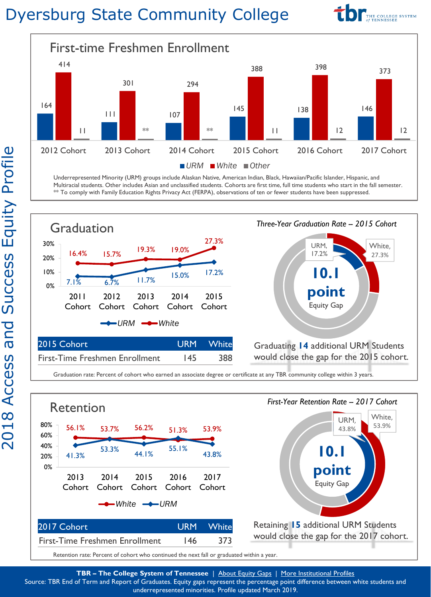## Dyersburg State Community College





Underrepresented Minority (URM) groups include Alaskan Native, American Indian, Black, Hawaiian/Pacific Islander, Hispanic, and Multiracial students. Other includes Asian and unclassified students. Cohorts are first time, full time students who start in the fall semester. \*\* To comply with Family Education Rights Privacy Act (FERPA), observations of ten or fewer students have been suppressed.



Graduation rate: Percent of cohort who earned an associate degree or certificate at any TBR community college within 3 years.



Retention rate: Percent of cohort who continued the next fall or graduated within a year.

**TBR – The College System of Tennessee** | [About Equity Gaps](https://nces.ed.gov/pubs2012/2012046/index.asp) | [More Institutional Profiles](https://www.tbr.edu/2018-college-profiles)

Source: TBR End of Term and Report of Graduates. Equity gaps represent the percentage point difference between white students and underrepresented minorities. Profile updated March 2019.